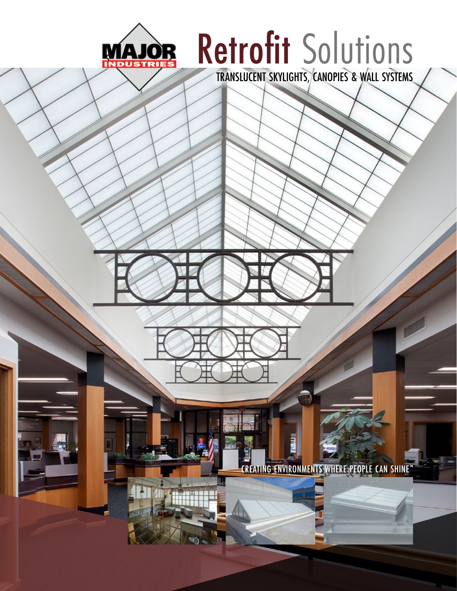

# Retrofit Solutions

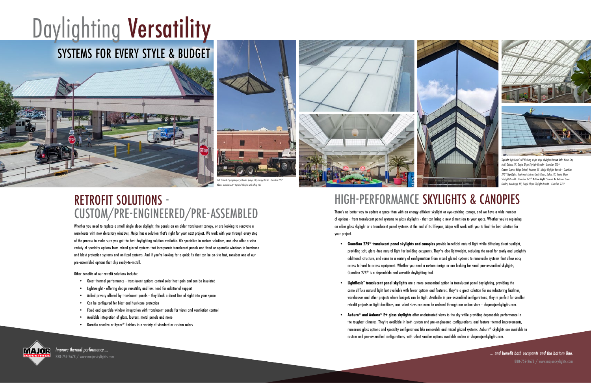*... and benefit both occupants and the bottom line.* 888-759-2678 / www.majorskylights.com

### HIGH-PERFORMANCE SKYLIGHTS & CANOPIES

There's no better way to update a space than with an energy-efficient skylight or eye-catching canopy, and we have a wide number of options - from translucent panel systems to glass skylights - that can bring a new dimension to your space. Whether you're replacing an older glass skylight or a translucent panel systems at the end of its lifespan, Major will work with you to find the best solution for your project.

## Daylighting Versatility SYSTEMS FOR EVERY STYLE & BUDGET



- **• Guardian 275® translucent panel skylights and canopies** provide beneficial natural light while diffusing direct sunlight, additional structure, and come in a variety of configurations from mixed glazed systems to removable systems that allow easy access to hard to access equipment. Whether you need a custom design or are looking for small pre-assembled skylights, Guardian 275® is a dependable and versatile daylighting tool.
- **• LightBasic™ translucent panel skylights** are a more economical option in translucent panel daylighting, providing the same diffuse natural light but available with fewer options and features. They're a great solution for manufacturing facilities, retrofit projects or tight deadlines, and select sizes can even be ordered through our online store - shopmajorskylights.com.
- **• Auburn® and Auburn® E+ glass skylights** offer unobstructed views to the sky while providing dependable performance in the toughest climates. They're available in both custom and pre-engineered configurations, and feature thermal improvements, custom and pre-assembled configurations, with select smaller options available online at shopmajorskylights.com.



warehouses and other projects where budgets can be tight. Available in pre-assembled configurations, they're perfect for smaller

numerous alass options and specialty configurations like removable and mixed alazed systems. Auburn® skylights are available in

**IMATOR** Improve thermal performance.... 888-759-2678 / www.majorskylights.com





*Top left: LightBasic™ self-flashing single slope skylights Bottom Left: Music City Mall, Odessa, TX, Single Slope Skylight Retrofit - Guardian 275® Center: Cypress Ridge School, Houston, TX , Ridge Skylight Retrofit - Guardian 275® Top Right: Southwest Airlines Credit Union, Dallas, TX, Single Slope Skylight Retrofit - Guardian 275® Bottom Right: Stewart Air National Guard Facility, Newburgh, NY, Single Slope Skylight Retrofit - Guardian 275®*

providing soft, glare-free natural light for building occupants. They're also lightweight, reducing the need for costly and unsightly

#### RETROFIT SOLUTIONS - CUSTOM/PRE-ENGINEERED/PRE-ASSEMBLED

Whether you need to replace a small single slope skylight, the panels on an older translucent canopy, or are looking to renovate a warehouse with new clerestory windows, Major has a solution that's right for your next project. We work with you through every step of the process to make sure you get the best daylighting solution available. We specialize in custom solutions, and also offer a wide variety of specialty options from mixed glazed systems that incorporate translucent panels and fixed or operable windows to hurricane and blast protection systems and unitized systems. And if you're looking for a quick fix that can be on-site fast, consider one of our pre-assembled options that ship ready-to-install.

Other benefits of our retrofit solutions include:

- Great thermal performance translucent options control solar heat gain and can be insulated
- Lightweight offering design versatility and less need for additional support
- Added privacy offered by translucent panels they block a direct line of sight into your space
- Can be configured for blast and hurricane protection
- Fixed and operable window integration with translucent panels for views and ventilation control
- Available integration of glass, louvers, metal panels and more
- Durable anodize or Kynar® finishes in a variety of standard or custom colors



*Above: Guardian 275® Pyramid Skylight with Lifting Tabs*

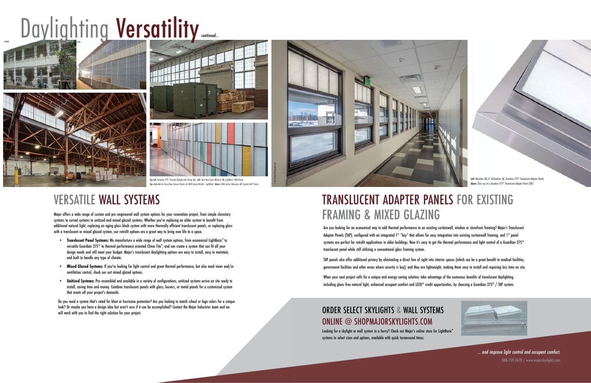### TRANSLUCENT ADAPTER PANELS FOR EXISTING FRAMING & MIXED GLAZING

Are you looking for an economical way to add thermal performance to an existing curtainwall, window or storefront framing? Major's Translucent Adapter Panels (TAP), configured with an integrated 1" "key" that allows for easy integration into existing curtainwall framing, and 1" panel systems are perfect for retrofit applications in older buildings. Now it's easy to get the thermal performance and light control of a Guardian 275® translucent panel while still utilizing a conventional glass framing system.

TAP panels also offer additional privacy by eliminating a direct line of sight into interior spaces (which can be a great benefit to medical facilities, government facilities and other areas where security is key), and they are lightweight, making them easy to install and requiring less time on site.

When your next project calls for a unique and energy-saving solution, take advantage of the numerous benefits of translucent daylighting, including glare-free natural light, enhanced occupant comfort and LEED® credit opportunities, by choosing a Guardian 275® / TAP system.

#### VERSATILE WALL SYSTEMS

- Translucent Panel Systems: We manufacture a wide range of wall system options, from economical LightBasic<sup>™</sup> to versatile Guardian 275® to thermal performance oriented Clima-Tite™ , and can create a system that can fit all your design needs and still meet your budget. Major's translucent daylighting options are easy to install, easy to maintain, and built to handle any type of climate.
- **• Mixed Glazed Systems:** If you're looking for light control and great thermal performance, but also need views and/or ventilation control, check our out mixed glazed options.
- **• Unitized Systems:** Pre-assembled and available in a variety of configurations, unitized systems arrive on site ready to install, saving time and money. Combine translucent panels with glass, louvers, or metal panels for a customized system that meets all your project's demands.

Do you need a system that's rated for blast or hurricane protection? Are you looking to match school or logo colors for a unique look? Or maybe you have a design idea but aren't sure if it can be accomplished? Contact the Major Industries team and we look? Or maybe you have a design idea but aren't sure if it can be accomplished? Contact the Major Industries team and we<br>will work with you to find the right solution for your project. Severally solution for your project.

Major offers a wide range of custom and pre-engineered wall system options for your renovation project, from simple clerestory systems to curved systems to unitized and mixed glazed systems. Whether you're replacing an older system to benefit from additional natural light, replacing an aging glass block system with more thermally efficient translucent panels, or replacing glass with a translucent or mixed glazed system, our retrofit options are a great way to bring new life to a space.

## ONLINE @ SHOPMAJORSKYLIGHTS.COM

Looking for a skylight or wall system in a hurry? Check out Major's online store for LightBasic™ systems in select sizes and options, available with quick turnaround times.

# Daylighting Versatility







© Ken Graham Photography.com

*Top Left: Guardian 275® Pyramid Skylight with Lifting Tabs Left: Joint Base Lewis McChord, WA, LightBasic™*

 *Wall Panels Left: Battalion HQ, Ft. Richardson, AK, Guardian 275® Translucent Adapter Panels*





*... and improve light control and occupant comfort.* 888-759-2678 / www.majorskylights.com